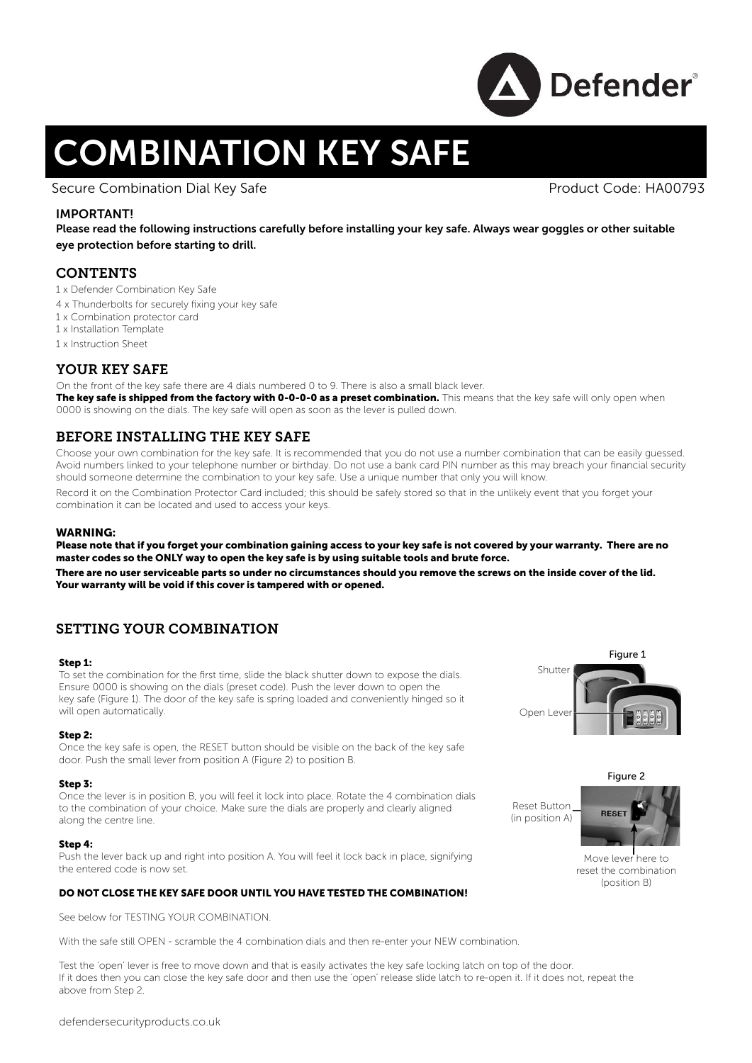

# COMBINATION KEY SAFE

Secure Combination Dial Key Safe **Product Code: HA00793** Product Code: HA00793

# IMPORTANT!

Please read the following instructions carefully before installing your key safe. Always wear goggles or other suitable eye protection before starting to drill.

# **CONTENTS**

- 1 x Defender Combination Key Safe
- 4 x Thunderbolts for securely fixing your key safe
- 1 x Combination protector card
- 1 x Installation Template
- 1 x Instruction Sheet

# YOUR KEY SAFE

On the front of the key safe there are 4 dials numbered 0 to 9. There is also a small black lever. The key safe is shipped from the factory with 0-0-0-0 as a preset combination. This means that the key safe will only open when 0000 is showing on the dials. The key safe will open as soon as the lever is pulled down.

# BEFORE INSTALLING THE KEY SAFE

Choose your own combination for the key safe. It is recommended that you do not use a number combination that can be easily guessed. Avoid numbers linked to your telephone number or birthday. Do not use a bank card PIN number as this may breach your financial security should someone determine the combination to your key safe. Use a unique number that only you will know.

Record it on the Combination Protector Card included; this should be safely stored so that in the unlikely event that you forget your combination it can be located and used to access your keys.

### WARNING:

Please note that if you forget your combination gaining access to your key safe is not covered by your warranty. There are no master codes so the ONLY way to open the key safe is by using suitable tools and brute force.

There are no user serviceable parts so under no circumstances should you remove the screws on the inside cover of the lid. Your warranty will be void if this cover is tampered with or opened.

# SETTING YOUR COMBINATION

#### Step 1:

To set the combination for the first time, slide the black shutter down to expose the dials. Ensure 0000 is showing on the dials (preset code). Push the lever down to open the key safe (Figure 1). The door of the key safe is spring loaded and conveniently hinged so it will open automatically.

#### Step 2:

Once the key safe is open, the RESET button should be visible on the back of the key safe door. Push the small lever from position A (Figure 2) to position B.

#### Step 3:

Once the lever is in position B, you will feel it lock into place. Rotate the 4 combination dials to the combination of your choice. Make sure the dials are properly and clearly aligned along the centre line.

#### Step 4:

Push the lever back up and right into position A. You will feel it lock back in place, signifying the entered code is now set.

# DO NOT CLOSE THE KEY SAFE DOOR UNTIL YOU HAVE TESTED THE COMBINATION!

See below for TESTING YOUR COMBINATION.

With the safe still OPEN - scramble the 4 combination dials and then re-enter your NEW combination.

Test the 'open' lever is free to move down and that is easily activates the key safe locking latch on top of the door. If it does then you can close the key safe door and then use the 'open' release slide latch to re-open it. If it does not, repeat the above from Step 2.





Reset Button (in position A)



Move lever here to reset the combination (position B)